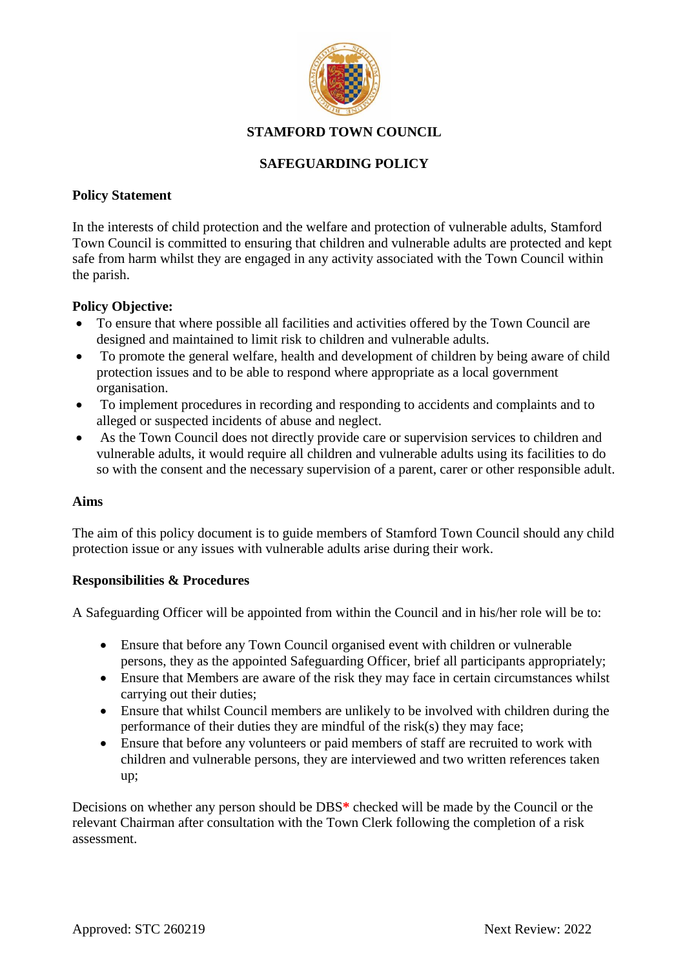

# **STAMFORD TOWN COUNCIL**

## **SAFEGUARDING POLICY**

## **Policy Statement**

In the interests of child protection and the welfare and protection of vulnerable adults, Stamford Town Council is committed to ensuring that children and vulnerable adults are protected and kept safe from harm whilst they are engaged in any activity associated with the Town Council within the parish.

## **Policy Objective:**

- To ensure that where possible all facilities and activities offered by the Town Council are designed and maintained to limit risk to children and vulnerable adults.
- To promote the general welfare, health and development of children by being aware of child protection issues and to be able to respond where appropriate as a local government organisation.
- To implement procedures in recording and responding to accidents and complaints and to alleged or suspected incidents of abuse and neglect.
- As the Town Council does not directly provide care or supervision services to children and vulnerable adults, it would require all children and vulnerable adults using its facilities to do so with the consent and the necessary supervision of a parent, carer or other responsible adult.

### **Aims**

The aim of this policy document is to guide members of Stamford Town Council should any child protection issue or any issues with vulnerable adults arise during their work.

### **Responsibilities & Procedures**

A Safeguarding Officer will be appointed from within the Council and in his/her role will be to:

- Ensure that before any Town Council organised event with children or vulnerable persons, they as the appointed Safeguarding Officer, brief all participants appropriately;
- Ensure that Members are aware of the risk they may face in certain circumstances whilst carrying out their duties;
- Ensure that whilst Council members are unlikely to be involved with children during the performance of their duties they are mindful of the risk(s) they may face;
- Ensure that before any volunteers or paid members of staff are recruited to work with children and vulnerable persons, they are interviewed and two written references taken up;

Decisions on whether any person should be DBS**\*** checked will be made by the Council or the relevant Chairman after consultation with the Town Clerk following the completion of a risk assessment.